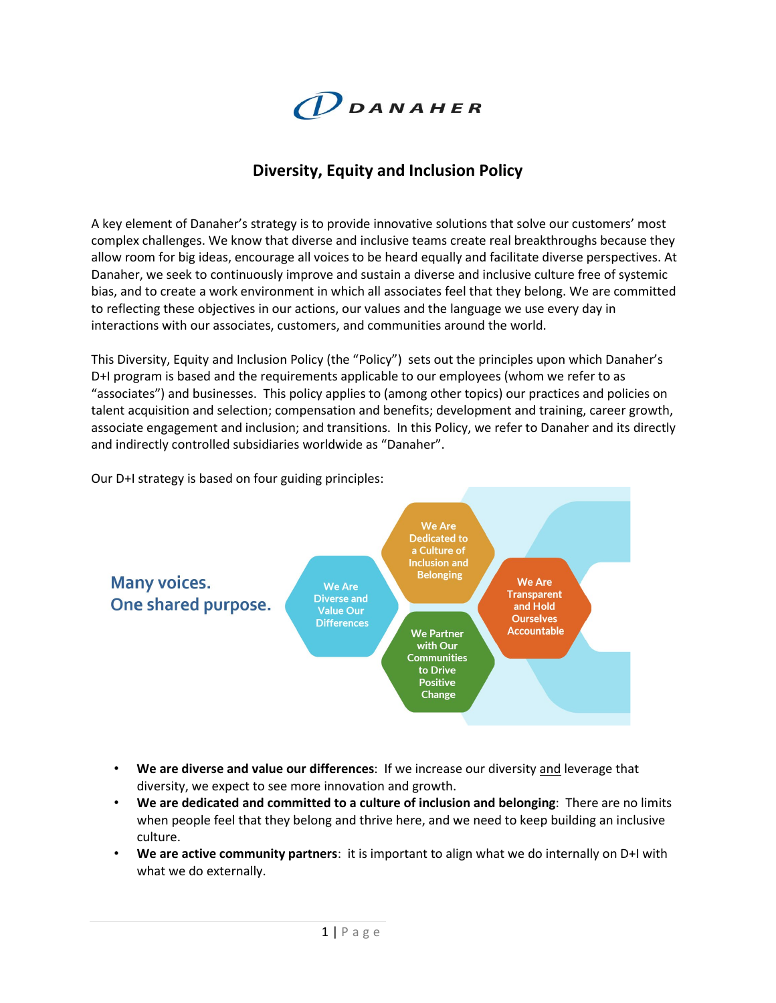

## **Diversity, Equity and Inclusion Policy**

A key element of Danaher's strategy is to provide innovative solutions that solve our customers' most complex challenges. We know that diverse and inclusive teams create real breakthroughs because they allow room for big ideas, encourage all voices to be heard equally and facilitate diverse perspectives. At Danaher, we seek to continuously improve and sustain a diverse and inclusive culture free of systemic bias, and to create a work environment in which all associates feel that they belong. We are committed to reflecting these objectives in our actions, our values and the language we use every day in interactions with our associates, customers, and communities around the world.

This Diversity, Equity and Inclusion Policy (the "Policy") sets out the principles upon which Danaher's D+I program is based and the requirements applicable to our employees (whom we refer to as "associates") and businesses. This policy applies to (among other topics) our practices and policies on talent acquisition and selection; compensation and benefits; development and training, career growth, associate engagement and inclusion; and transitions. In this Policy, we refer to Danaher and its directly and indirectly controlled subsidiaries worldwide as "Danaher".



Our D+I strategy is based on four guiding principles:

- **We are diverse and value our differences**: If we increase our diversity and leverage that diversity, we expect to see more innovation and growth.
- **We are dedicated and committed to a culture of inclusion and belonging**: There are no limits when people feel that they belong and thrive here, and we need to keep building an inclusive culture.
- **We are active community partners**: it is important to align what we do internally on D+I with what we do externally.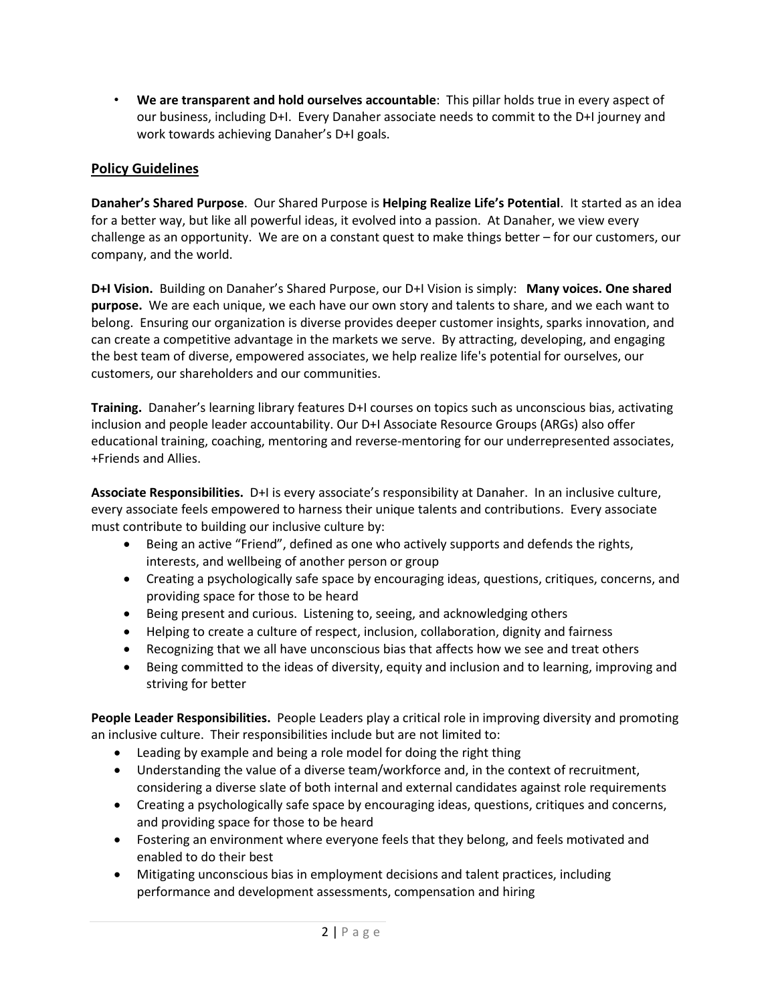• **We are transparent and hold ourselves accountable**: This pillar holds true in every aspect of our business, including D+I. Every Danaher associate needs to commit to the D+I journey and work towards achieving Danaher's D+I goals.

## **Policy Guidelines**

**Danaher's Shared Purpose**. Our Shared Purpose is **Helping Realize Life's Potential**. It started as an idea for a better way, but like all powerful ideas, it evolved into a passion. At Danaher, we view every challenge as an opportunity. We are on a constant quest to make things better – for our customers, our company, and the world.

**D+I Vision.** Building on Danaher's Shared Purpose, our D+I Vision is simply: **Many voices. One shared purpose.** We are each unique, we each have our own story and talents to share, and we each want to belong. Ensuring our organization is diverse provides deeper customer insights, sparks innovation, and can create a competitive advantage in the markets we serve. By attracting, developing, and engaging the best team of diverse, empowered associates, we help realize life's potential for ourselves, our customers, our shareholders and our communities.

**Training.** Danaher's learning library features D+I courses on topics such as unconscious bias, activating inclusion and people leader accountability. Our D+I Associate Resource Groups (ARGs) also offer educational training, coaching, mentoring and reverse-mentoring for our underrepresented associates, +Friends and Allies.

**Associate Responsibilities.** D+I is every associate's responsibility at Danaher. In an inclusive culture, every associate feels empowered to harness their unique talents and contributions. Every associate must contribute to building our inclusive culture by:

- Being an active "Friend", defined as one who actively supports and defends the rights, interests, and wellbeing of another person or group
- Creating a psychologically safe space by encouraging ideas, questions, critiques, concerns, and providing space for those to be heard
- Being present and curious. Listening to, seeing, and acknowledging others
- Helping to create a culture of respect, inclusion, collaboration, dignity and fairness
- Recognizing that we all have unconscious bias that affects how we see and treat others
- Being committed to the ideas of diversity, equity and inclusion and to learning, improving and striving for better

**People Leader Responsibilities.** People Leaders play a critical role in improving diversity and promoting an inclusive culture. Their responsibilities include but are not limited to:

- Leading by example and being a role model for doing the right thing
- Understanding the value of a diverse team/workforce and, in the context of recruitment, considering a diverse slate of both internal and external candidates against role requirements
- Creating a psychologically safe space by encouraging ideas, questions, critiques and concerns, and providing space for those to be heard
- Fostering an environment where everyone feels that they belong, and feels motivated and enabled to do their best
- Mitigating unconscious bias in employment decisions and talent practices, including performance and development assessments, compensation and hiring